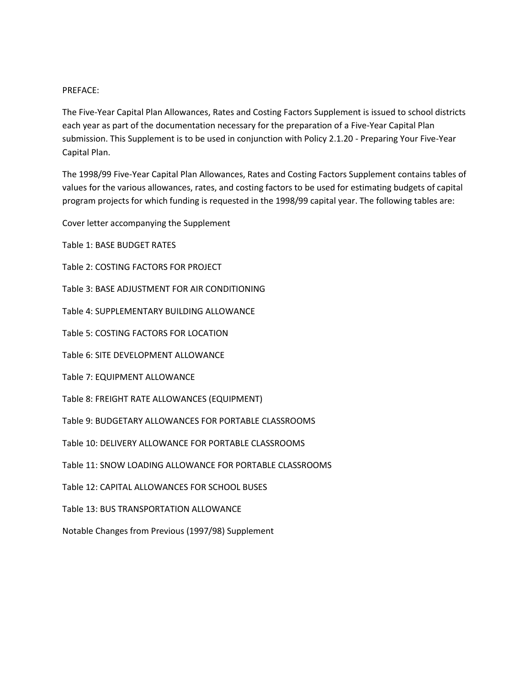#### PREFACE:

The Five-Year Capital Plan Allowances, Rates and Costing Factors Supplement is issued to school districts each year as part of the documentation necessary for the preparation of a Five-Year Capital Plan submission. This Supplement is to be used in conjunction with Policy 2.1.20 - Preparing Your Five-Year Capital Plan.

The 1998/99 Five-Year Capital Plan Allowances, Rates and Costing Factors Supplement contains tables of values for the various allowances, rates, and costing factors to be used for estimating budgets of capital program projects for which funding is requested in the 1998/99 capital year. The following tables are:

Cover letter accompanying the Supplement

Table 1: BASE BUDGET RATES

Table 2: COSTING FACTORS FOR PROJECT

Table 3: BASE ADJUSTMENT FOR AIR CONDITIONING

Table 4: SUPPLEMENTARY BUILDING ALLOWANCE

Table 5: COSTING FACTORS FOR LOCATION

Table 6: SITE DEVELOPMENT ALLOWANCE

Table 7: EQUIPMENT ALLOWANCE

Table 8: FREIGHT RATE ALLOWANCES (EQUIPMENT)

Table 9: BUDGETARY ALLOWANCES FOR PORTABLE CLASSROOMS

Table 10: DELIVERY ALLOWANCE FOR PORTABLE CLASSROOMS

Table 11: SNOW LOADING ALLOWANCE FOR PORTABLE CLASSROOMS

Table 12: CAPITAL ALLOWANCES FOR SCHOOL BUSES

Table 13: BUS TRANSPORTATION ALLOWANCE

Notable Changes from Previous (1997/98) Supplement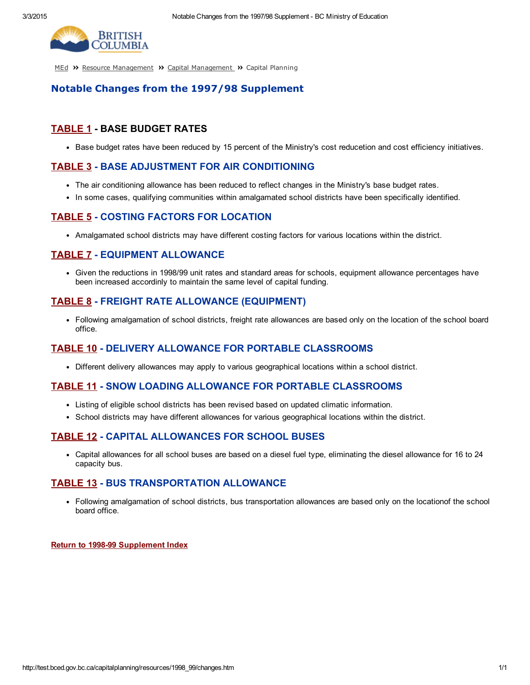

## Notable Changes from the 1997/98 Supplement

### **[TABLE](http://test.bced.gov.bc.ca/capitalplanning/resources/1998_99/table01.htm) 1 - BASE BUDGET RATES**

Base budget rates have been reduced by 15 percent of the Ministry's cost reducetion and cost efficiency initiatives.

## [TABLE](http://test.bced.gov.bc.ca/capitalplanning/resources/1998_99/table03.htm) 3 - BASE ADJUSTMENT FOR AIR CONDITIONING

- The air conditioning allowance has been reduced to reflect changes in the Ministry's base budget rates.
- In some cases, qualifying communities within amalgamated school districts have been specifically identified.

### [TABLE](http://test.bced.gov.bc.ca/capitalplanning/resources/1998_99/table05.htm) 5 COSTING FACTORS FOR LOCATION

Amalgamated school districts may have different costing factors for various locations within the district.

### [TABLE](http://test.bced.gov.bc.ca/capitalplanning/resources/1998_99/table07.htm) 7 EQUIPMENT ALLOWANCE

Given the reductions in 1998/99 unit rates and standard areas for schools, equipment allowance percentages have been increased accordinly to maintain the same level of capital funding.

### [TABLE](http://test.bced.gov.bc.ca/capitalplanning/resources/1998_99/table08.htm) 8 FREIGHT RATE ALLOWANCE (EQUIPMENT)

Following amalgamation of school districts, freight rate allowances are based only on the location of the school board office.

### [TABLE](http://test.bced.gov.bc.ca/capitalplanning/resources/1998_99/table10.htm) 10 DELIVERY ALLOWANCE FOR PORTABLE CLASSROOMS

Different delivery allowances may apply to various geographical locations within a school district.

### [TABLE](http://test.bced.gov.bc.ca/capitalplanning/resources/1998_99/table11.htm) 11 SNOW LOADING ALLOWANCE FOR PORTABLE CLASSROOMS

- Listing of eligible school districts has been revised based on updated climatic information.
- School districts may have different allowances for various geographical locations within the district.

# [TABLE](http://test.bced.gov.bc.ca/capitalplanning/resources/1998_99/table12.htm) 12 CAPITAL ALLOWANCES FOR SCHOOL BUSES

Capital allowances for all school buses are based on a diesel fuel type, eliminating the diesel allowance for 16 to 24 capacity bus.

### **[TABLE](http://test.bced.gov.bc.ca/capitalplanning/resources/1998_99/table13.htm) 13 - BUS TRANSPORTATION ALLOWANCE**

Following amalgamation of school districts, bus transportation allowances are based only on the locationof the school board office.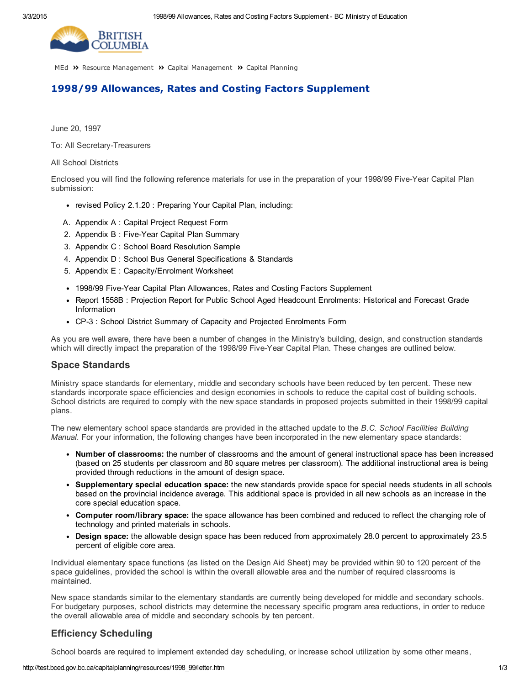

# 1998/99 Allowances, Rates and Costing Factors Supplement

June 20, 1997

To: All Secretary-Treasurers

All School Districts

Enclosed you will find the following reference materials for use in the preparation of your 1998/99 Five-Year Capital Plan submission:

- revised Policy 2.1.20 : Preparing Your Capital Plan, including:
- A. Appendix A : Capital Project Request Form
- 2. Appendix B: Five-Year Capital Plan Summary
- 3. Appendix C : School Board Resolution Sample
- 4. Appendix D : School Bus General Specifications & Standards
- 5. Appendix E : Capacity/Enrolment Worksheet
- 1998/99 Five-Year Capital Plan Allowances, Rates and Costing Factors Supplement
- Report 1558B : Projection Report for Public School Aged Headcount Enrolments: Historical and Forecast Grade Information
- CP3 : School District Summary of Capacity and Projected Enrolments Form

As you are well aware, there have been a number of changes in the Ministry's building, design, and construction standards which will directly impact the preparation of the 1998/99 Five-Year Capital Plan. These changes are outlined below.

#### Space Standards

Ministry space standards for elementary, middle and secondary schools have been reduced by ten percent. These new standards incorporate space efficiencies and design economies in schools to reduce the capital cost of building schools. School districts are required to comply with the new space standards in proposed projects submitted in their 1998/99 capital plans.

The new elementary school space standards are provided in the attached update to the *B.C. School Facilities Building Manual*. For your information, the following changes have been incorporated in the new elementary space standards:

- Number of classrooms: the number of classrooms and the amount of general instructional space has been increased (based on 25 students per classroom and 80 square metres per classroom). The additional instructional area is being provided through reductions in the amount of design space.
- Supplementary special education space: the new standards provide space for special needs students in all schools based on the provincial incidence average. This additional space is provided in all new schools as an increase in the core special education space.
- Computer room/library space: the space allowance has been combined and reduced to reflect the changing role of technology and printed materials in schools.
- Design space: the allowable design space has been reduced from approximately 28.0 percent to approximately 23.5 percent of eligible core area.

Individual elementary space functions (as listed on the Design Aid Sheet) may be provided within 90 to 120 percent of the space guidelines, provided the school is within the overall allowable area and the number of required classrooms is maintained.

New space standards similar to the elementary standards are currently being developed for middle and secondary schools. For budgetary purposes, school districts may determine the necessary specific program area reductions, in order to reduce the overall allowable area of middle and secondary schools by ten percent.

### Efficiency Scheduling

School boards are required to implement extended day scheduling, or increase school utilization by some other means,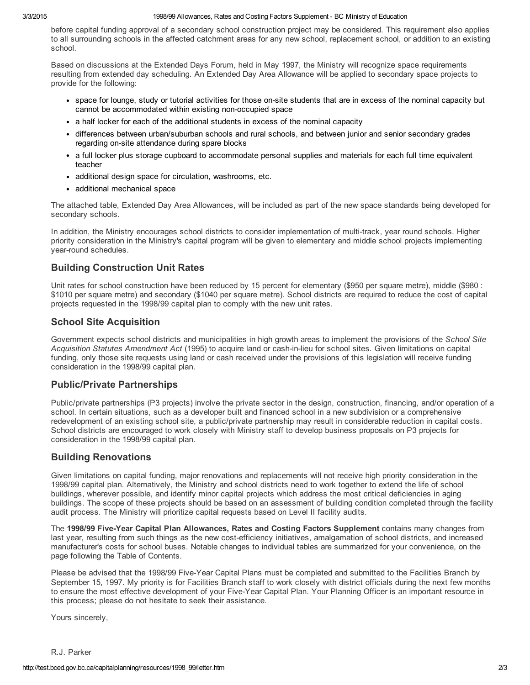before capital funding approval of a secondary school construction project may be considered. This requirement also applies to all surrounding schools in the affected catchment areas for any new school, replacement school, or addition to an existing school.

Based on discussions at the Extended Days Forum, held in May 1997, the Ministry will recognize space requirements resulting from extended day scheduling. An Extended Day Area Allowance will be applied to secondary space projects to provide for the following:

- space for lounge, study or tutorial activities for those on-site students that are in excess of the nominal capacity but cannot be accommodated within existing non-occupied space
- a half locker for each of the additional students in excess of the nominal capacity
- differences between urban/suburban schools and rural schools, and between junior and senior secondary grades regarding on-site attendance during spare blocks
- a full locker plus storage cupboard to accommodate personal supplies and materials for each full time equivalent teacher
- additional design space for circulation, washrooms, etc.
- additional mechanical space

The attached table, Extended Day Area Allowances, will be included as part of the new space standards being developed for secondary schools.

In addition, the Ministry encourages school districts to consider implementation of multi-track, year round schools. Higher priority consideration in the Ministry's capital program will be given to elementary and middle school projects implementing vear-round schedules.

### Building Construction Unit Rates

Unit rates for school construction have been reduced by 15 percent for elementary (\$950 per square metre), middle (\$980 : \$1010 per square metre) and secondary (\$1040 per square metre). School districts are required to reduce the cost of capital projects requested in the 1998/99 capital plan to comply with the new unit rates.

### School Site Acquisition

Government expects school districts and municipalities in high growth areas to implement the provisions of the *School Site Acquisition Statutes Amendment Act* (1995) to acquire land or cashinlieu for school sites. Given limitations on capital funding, only those site requests using land or cash received under the provisions of this legislation will receive funding consideration in the 1998/99 capital plan.

### Public/Private Partnerships

Public/private partnerships (P3 projects) involve the private sector in the design, construction, financing, and/or operation of a school. In certain situations, such as a developer built and financed school in a new subdivision or a comprehensive redevelopment of an existing school site, a public/private partnership may result in considerable reduction in capital costs. School districts are encouraged to work closely with Ministry staff to develop business proposals on P3 projects for consideration in the 1998/99 capital plan.

### Building Renovations

Given limitations on capital funding, major renovations and replacements will not receive high priority consideration in the 1998/99 capital plan. Alternatively, the Ministry and school districts need to work together to extend the life of school buildings, wherever possible, and identify minor capital projects which address the most critical deficiencies in aging buildings. The scope of these projects should be based on an assessment of building condition completed through the facility audit process. The Ministry will prioritize capital requests based on Level II facility audits.

The 1998/99 Five-Year Capital Plan Allowances, Rates and Costing Factors Supplement contains many changes from last year, resulting from such things as the new cost-efficiency initiatives, amalgamation of school districts, and increased manufacturer's costs for school buses. Notable changes to individual tables are summarized for your convenience, on the page following the Table of Contents.

Please be advised that the 1998/99 Five-Year Capital Plans must be completed and submitted to the Facilities Branch by September 15, 1997. My priority is for Facilities Branch staff to work closely with district officials during the next few months to ensure the most effective development of your Five-Year Capital Plan. Your Planning Officer is an important resource in this process; please do not hesitate to seek their assistance.

Yours sincerely,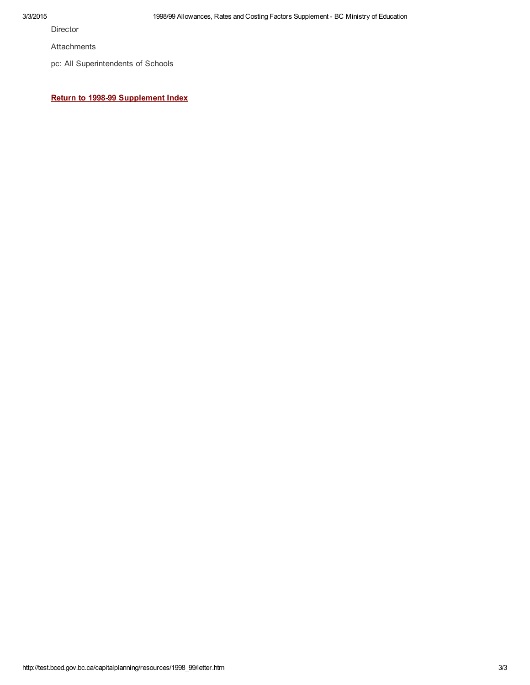**Director** 

Attachments

pc: All Superintendents of Schools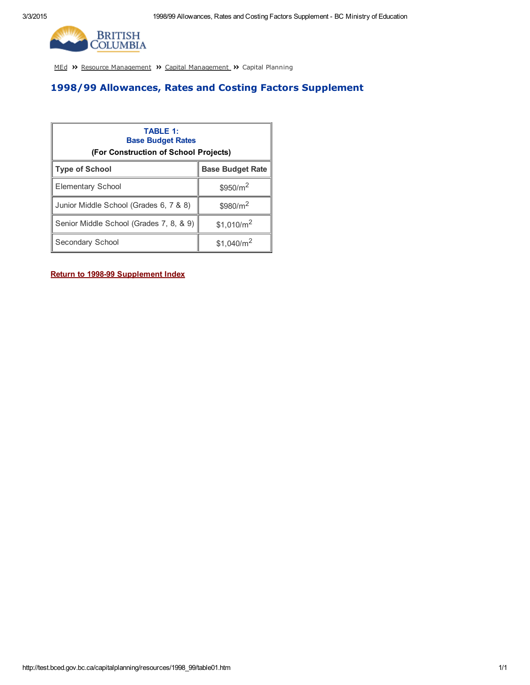

## 1998/99 Allowances, Rates and Costing Factors Supplement

| <b>TABLE 1:</b><br><b>Base Budget Rates</b>                       |                         |  |
|-------------------------------------------------------------------|-------------------------|--|
| (For Construction of School Projects)                             |                         |  |
| <b>Type of School</b>                                             | <b>Base Budget Rate</b> |  |
| Elementary School                                                 | $$950/m^2$              |  |
| Junior Middle School (Grades 6, 7 & 8)                            | $$980/m^2$              |  |
| Senior Middle School (Grades 7, 8, & 9)<br>\$1,010/m <sup>2</sup> |                         |  |
| Secondary School                                                  | \$1,040/m <sup>2</sup>  |  |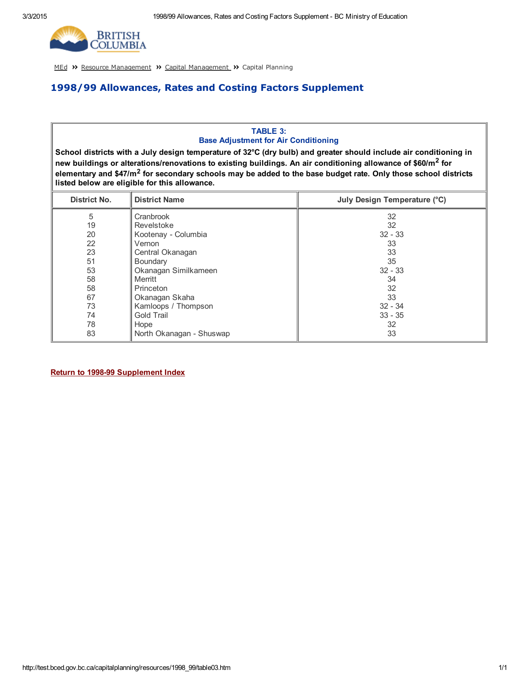

### 1998/99 Allowances, Rates and Costing Factors Supplement

#### TABLE 3: Base Adjustment for Air Conditioning

School districts with a July design temperature of 32°C (dry bulb) and greater should include air conditioning in new buildings or alterations/renovations to existing buildings. An air conditioning allowance of \$60/m<sup>2</sup> for elementary and \$47/m<sup>2</sup> for secondary schools may be added to the base budget rate. Only those school districts listed below are eligible for this allowance.

| District No. | <b>District Name</b>     | July Design Temperature (°C) |
|--------------|--------------------------|------------------------------|
| 5            | Cranbrook                | 32                           |
| 19           | Revelstoke               | 32                           |
| 20           | Kootenay - Columbia      | $32 - 33$                    |
| 22           | Vernon                   | 33                           |
| 23           | Central Okanagan         | 33                           |
| 51           | <b>Boundary</b>          | 35                           |
| 53           | Okanagan Similkameen     | $32 - 33$                    |
| 58           | Merritt                  | 34                           |
| 58           | Princeton                | 32                           |
| 67           | Okanagan Skaha           | 33                           |
| 73           | Kamloops / Thompson      | $32 - 34$                    |
| 74           | Gold Trail               | $33 - 35$                    |
| 78           | Hope                     | 32                           |
| 83           | North Okanagan - Shuswap | 33                           |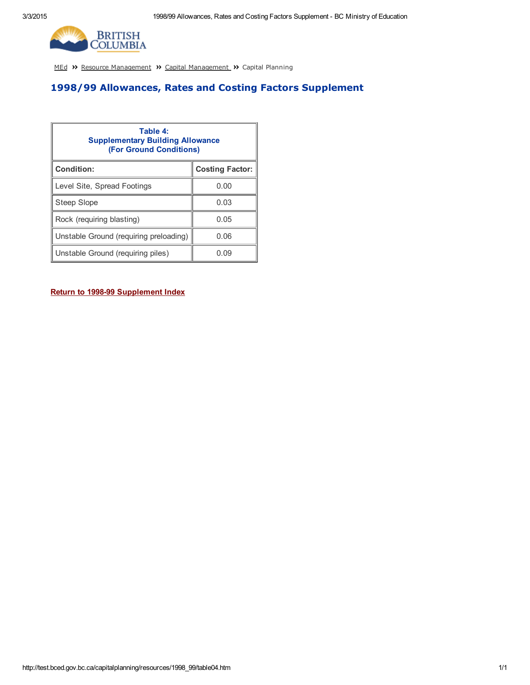

### 1998/99 Allowances, Rates and Costing Factors Supplement

| Table 4:<br><b>Supplementary Building Allowance</b><br><b>(For Ground Conditions)</b> |                        |  |
|---------------------------------------------------------------------------------------|------------------------|--|
| <b>Condition:</b>                                                                     | <b>Costing Factor:</b> |  |
| Level Site, Spread Footings                                                           | 0.00                   |  |
| <b>Steep Slope</b>                                                                    | 0.03                   |  |
| Rock (requiring blasting)                                                             | 0.05                   |  |
| Unstable Ground (requiring preloading)                                                | 0.06                   |  |
| Unstable Ground (requiring piles)                                                     | 0.09                   |  |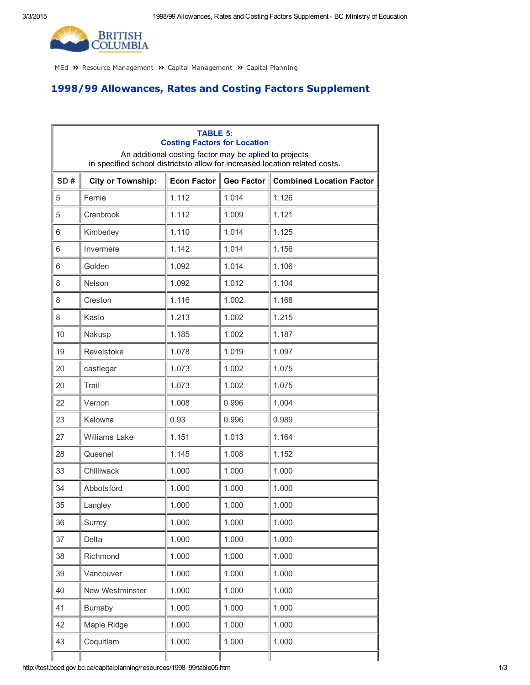

# 1998/99 Allowances, Rates and Costing Factors Supplement

| <b>TABLE 5:</b><br><b>Costing Factors for Location</b><br>An additional costing factor may be aplied to projects<br>in specified school districtsto allow for increased location related costs. |                          |                    |            |                                 |
|-------------------------------------------------------------------------------------------------------------------------------------------------------------------------------------------------|--------------------------|--------------------|------------|---------------------------------|
| SD#                                                                                                                                                                                             | <b>City or Township:</b> | <b>Econ Factor</b> | Geo Factor | <b>Combined Location Factor</b> |
| 5                                                                                                                                                                                               | Fernie                   | 1.112              | 1.014      | 1.126                           |
| 5                                                                                                                                                                                               | Cranbrook                | 1.112              | 1.009      | 1.121                           |
| 6                                                                                                                                                                                               | Kimberley                | 1.110              | 1.014      | 1.125                           |
| 6                                                                                                                                                                                               | Invermere                | 1.142              | 1.014      | 1.156                           |
| 6                                                                                                                                                                                               | Golden                   | 1.092              | 1.014      | 1.106                           |
| 8                                                                                                                                                                                               | <b>Nelson</b>            | 1.092              | 1.012      | 1.104                           |
| 8                                                                                                                                                                                               | Creston                  | 1.116              | 1.002      | 1.168                           |
| 8                                                                                                                                                                                               | Kaslo                    | 1.213              | 1.002      | 1.215                           |
| 10                                                                                                                                                                                              | Nakusp                   | 1.185              | 1.002      | 1.187                           |
| 19                                                                                                                                                                                              | Revelstoke               | 1.078              | 1.019      | 1.097                           |
| 20                                                                                                                                                                                              | castlegar                | 1.073              | 1.002      | 1.075                           |
| 20                                                                                                                                                                                              | Trail                    | 1.073              | 1.002      | 1.075                           |
| 22                                                                                                                                                                                              | Vernon                   | 1.008              | 0.996      | 1.004                           |
| 23                                                                                                                                                                                              | Kelowna                  | 0.93               | 0.996      | 0.989                           |
| 27                                                                                                                                                                                              | <b>Williams Lake</b>     | 1.151              | 1.013      | 1.164                           |
| 28                                                                                                                                                                                              | Quesnel                  | 1.145              | 1.008      | 1.152                           |
| 33                                                                                                                                                                                              | Chilliwack               | 1.000              | 1.000      | 1.000                           |
| 34                                                                                                                                                                                              | Abbotsford               | 1.000              | 1.000      | 1.000                           |
| 35                                                                                                                                                                                              | Langley                  | 1.000              | 1.000      | 1.000                           |
| 36                                                                                                                                                                                              | Surrey                   | 1.000              | 1.000      | 1.000                           |
| 37                                                                                                                                                                                              | Delta                    | 1.000              | 1.000      | 1.000                           |
| 38                                                                                                                                                                                              | Richmond                 | 1.000              | 1.000      | 1.000                           |
| 39                                                                                                                                                                                              | Vancouver                | 1.000              | 1.000      | 1.000                           |
| 40                                                                                                                                                                                              | New Westminster          | 1.000              | 1.000      | 1.000                           |
| 41                                                                                                                                                                                              | <b>Burnaby</b>           | 1.000              | 1.000      | 1.000                           |
| 42                                                                                                                                                                                              | Maple Ridge              | 1.000              | 1.000      | 1.000                           |
| 43                                                                                                                                                                                              | Coquitlam                | 1.000              | 1.000      | 1.000                           |
|                                                                                                                                                                                                 |                          |                    |            |                                 |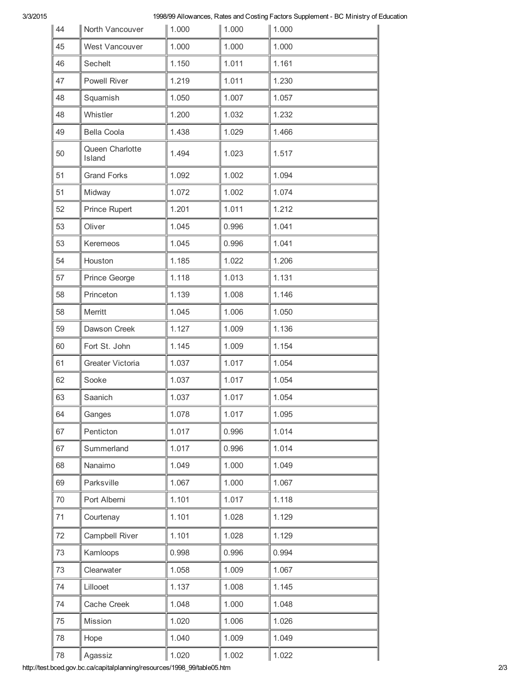| 44         | North Vancouver           | $\  1.000$ | 1.000 | 1.000 |
|------------|---------------------------|------------|-------|-------|
| 45         | West Vancouver            | 1.000      | 1.000 | 1.000 |
| 46         | Sechelt                   | 1.150      | 1.011 | 1.161 |
| 47         | <b>Powell River</b>       | 1.219      | 1.011 | 1.230 |
| 48         | Squamish                  | 1.050      | 1.007 | 1.057 |
| 48         | Whistler                  | 1.200      | 1.032 | 1.232 |
| 49         | Bella Coola               | 1.438      | 1.029 | 1.466 |
| 50         | Queen Charlotte<br>Island | 1.494      | 1.023 | 1.517 |
| 51         | <b>Grand Forks</b>        | 1.092      | 1.002 | 1.094 |
| 51         | Midway                    | 1.072      | 1.002 | 1.074 |
| 52         | <b>Prince Rupert</b>      | 1.201      | 1.011 | 1.212 |
| 53         | Oliver                    | 1.045      | 0.996 | 1.041 |
| 53         | Keremeos                  | 1.045      | 0.996 | 1.041 |
| 54         | Houston                   | 1.185      | 1.022 | 1.206 |
| 57         | Prince George             | 1.118      | 1.013 | 1.131 |
| 58         | Princeton                 | 1.139      | 1.008 | 1.146 |
| 58         | Merritt                   | 1.045      | 1.006 | 1.050 |
| 59         | Dawson Creek              | 1.127      | 1.009 | 1.136 |
| 60         | Fort St. John             | 1.145      | 1.009 | 1.154 |
| 61         | Greater Victoria          | 1.037      | 1.017 | 1.054 |
| 62         | Sooke                     | 1.037      | 1.017 | 1.054 |
| 63         | Saanich                   | 1.037      | 1.017 | 1.054 |
| 64         | Ganges                    | 1.078      | 1.017 | 1.095 |
| 67         | Penticton                 | 1.017      | 0.996 | 1.014 |
| 67         | Summerland                | 1.017      | 0.996 | 1.014 |
| 68         | Nanaimo                   | 1.049      | 1.000 | 1.049 |
| 69         | Parksville                | 1.067      | 1.000 | 1.067 |
| 70         | Port Alberni              | 1.101      | 1.017 | 1.118 |
| 71         | Courtenay                 | 1.101      | 1.028 | 1.129 |
| 72         | Campbell River            | 1.101      | 1.028 | 1.129 |
| 73         | Kamloops                  | 0.998      | 0.996 | 0.994 |
| 73         | Clearwater                | 1.058      | 1.009 | 1.067 |
| 74         | Lillooet                  | 1.137      | 1.008 | 1.145 |
| 74         | Cache Creek               | 1.048      | 1.000 | 1.048 |
| 75         | Mission                   | 1.020      | 1.006 | 1.026 |
| 78         | Hope                      | 1.040      | 1.009 | 1.049 |
| ${\bf 78}$ | Agassiz                   | 1.020      | 1.002 | 1.022 |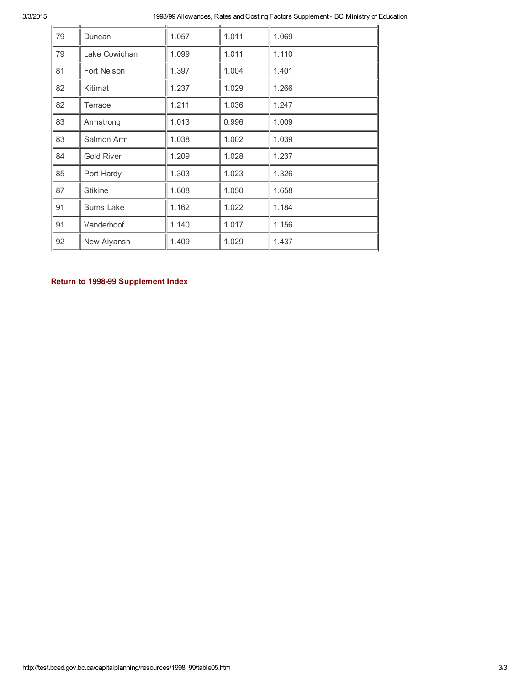| 79 | Duncan            | 1.057 | 1.011 | 1.069 |  |
|----|-------------------|-------|-------|-------|--|
| 79 | Lake Cowichan     | 1.099 | 1.011 | 1.110 |  |
| 81 | Fort Nelson       | 1.397 | 1.004 | 1.401 |  |
| 82 | Kitimat           | 1.237 | 1.029 | 1.266 |  |
| 82 | Terrace           | 1.211 | 1.036 | 1.247 |  |
| 83 | Armstrong         | 1.013 | 0.996 | 1.009 |  |
| 83 | Salmon Arm        | 1.038 | 1.002 | 1.039 |  |
| 84 | <b>Gold River</b> | 1.209 | 1.028 | 1.237 |  |
| 85 | Port Hardy        | 1.303 | 1.023 | 1.326 |  |
| 87 | <b>Stikine</b>    | 1.608 | 1.050 | 1.658 |  |
| 91 | <b>Burns Lake</b> | 1.162 | 1.022 | 1.184 |  |
| 91 | Vanderhoof        | 1.140 | 1.017 | 1.156 |  |
| 92 | New Aiyansh       | 1.409 | 1.029 | 1.437 |  |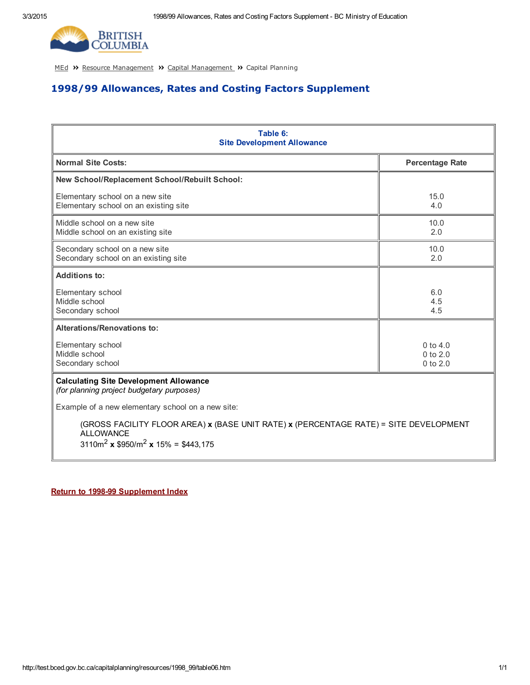

# 1998/99 Allowances, Rates and Costing Factors Supplement

| Table 6:<br><b>Site Development Allowance</b>                                                      |                                              |  |
|----------------------------------------------------------------------------------------------------|----------------------------------------------|--|
| <b>Normal Site Costs:</b>                                                                          | <b>Percentage Rate</b>                       |  |
| New School/Replacement School/Rebuilt School:                                                      |                                              |  |
| Elementary school on a new site<br>Elementary school on an existing site                           | 15.0<br>4.0                                  |  |
| Middle school on a new site<br>Middle school on an existing site                                   | 10.0<br>2.0                                  |  |
| Secondary school on a new site<br>Secondary school on an existing site                             | 10.0<br>2.0                                  |  |
| <b>Additions to:</b>                                                                               |                                              |  |
| Elementary school<br>Middle school<br>Secondary school                                             | 6.0<br>4.5<br>4.5                            |  |
| <b>Alterations/Renovations to:</b>                                                                 |                                              |  |
| Elementary school<br>Middle school<br>Secondary school                                             | $0$ to $4.0$<br>$0$ to $2.0$<br>$0$ to $2.0$ |  |
| <b>Calculating Site Development Allowance</b><br>(for planning project budgetary purposes)         |                                              |  |
| Example of a new elementary school on a new site:                                                  |                                              |  |
| (GROSS FACILITY FLOOR AREA) x (BASE UNIT RATE) x (PERCENTAGE RATE) = SITE DEVELOPMENT<br>ALLOWANCE |                                              |  |
| $3110m^2$ x \$950/m <sup>2</sup> x 15% = \$443,175                                                 |                                              |  |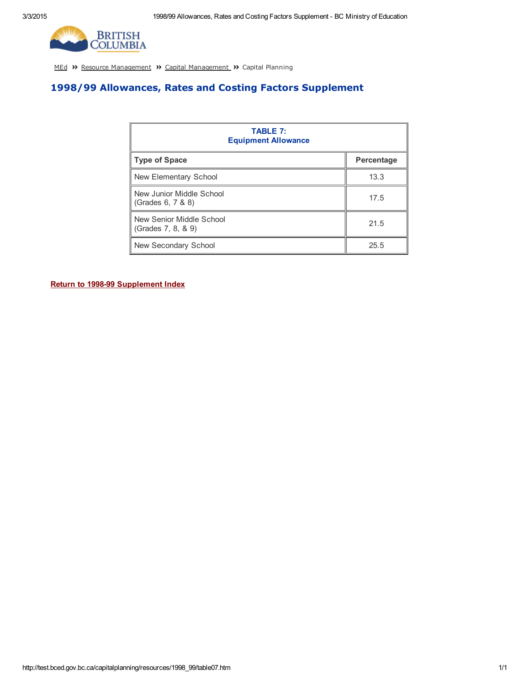

### 1998/99 Allowances, Rates and Costing Factors Supplement

| <b>TABLE 7:</b><br><b>Equipment Allowance</b>  |            |  |
|------------------------------------------------|------------|--|
| <b>Type of Space</b>                           | Percentage |  |
| New Elementary School                          | 13.3       |  |
| New Junior Middle School<br>(Grades 6, 7 & 8)  | 17.5       |  |
| New Senior Middle School<br>(Grades 7, 8, & 9) | 21.5       |  |
| New Secondary School                           | 25.5       |  |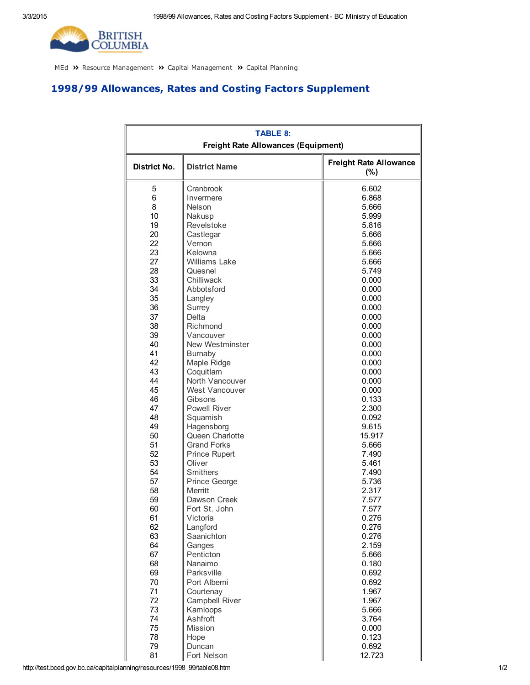

# 1998/99 Allowances, Rates and Costing Factors Supplement

| <b>TABLE 8:</b><br><b>Freight Rate Allowances (Equipment)</b> |                        |                                         |  |
|---------------------------------------------------------------|------------------------|-----------------------------------------|--|
| <b>District No.</b>                                           | <b>District Name</b>   | <b>Freight Rate Allowance</b><br>$(\%)$ |  |
| 5                                                             | Cranbrook              | 6.602                                   |  |
| 6                                                             | Invermere              | 6.868                                   |  |
| 8                                                             | Nelson                 | 5.666                                   |  |
| 10                                                            | Nakusp                 | 5.999                                   |  |
| 19                                                            | Revelstoke             | 5.816                                   |  |
| 20                                                            | Castlegar              | 5.666                                   |  |
| 22                                                            | Vernon                 | 5.666                                   |  |
| 23                                                            | Kelowna                | 5.666                                   |  |
| 27                                                            | <b>Williams Lake</b>   | 5.666                                   |  |
| 28                                                            | Quesnel                | 5.749                                   |  |
| 33                                                            | Chilliwack             | 0.000                                   |  |
| 34                                                            | Abbotsford             | 0.000                                   |  |
| 35                                                            | Langley                | 0.000                                   |  |
| 36                                                            | Surrey                 | 0.000                                   |  |
| 37                                                            | Delta                  | 0.000                                   |  |
| 38                                                            | Richmond               | 0.000                                   |  |
| 39                                                            | Vancouver              | 0.000                                   |  |
| 40                                                            | <b>New Westminster</b> | 0.000                                   |  |
| 41                                                            | <b>Burnaby</b>         | 0.000                                   |  |
| 42                                                            | Maple Ridge            | 0.000                                   |  |
| 43                                                            | Coquitlam              | 0.000                                   |  |
| 44                                                            | North Vancouver        | 0.000                                   |  |
| 45                                                            | West Vancouver         | 0.000                                   |  |
| 46                                                            | Gibsons                | 0.133                                   |  |
| 47                                                            | <b>Powell River</b>    | 2.300                                   |  |
| 48                                                            | Squamish               | 0.092                                   |  |
| 49                                                            | Hagensborg             | 9.615                                   |  |
| 50                                                            | Queen Charlotte        | 15.917                                  |  |
| 51                                                            | <b>Grand Forks</b>     | 5.666                                   |  |
| 52                                                            | <b>Prince Rupert</b>   | 7.490                                   |  |
| 53                                                            | Oliver                 | 5.461                                   |  |
| 54                                                            | <b>Smithers</b>        | 7.490                                   |  |
| 57                                                            | Prince George          | 5.736                                   |  |
| 58                                                            | Merritt                | 2.317                                   |  |
| 59                                                            | Dawson Creek           | 7.577                                   |  |
| 60                                                            | Fort St. John          | 7.577                                   |  |
| 61                                                            | Victoria               | 0.276                                   |  |
| 62                                                            | Langford               | 0.276                                   |  |
| 63                                                            | Saanichton             | 0.276                                   |  |
| 64                                                            | Ganges                 | 2.159                                   |  |
| 67                                                            | Penticton              | 5.666                                   |  |
| 68                                                            | Nanaimo                | 0.180                                   |  |
| 69                                                            | Parksville             | 0.692                                   |  |
| 70                                                            | Port Alberni           | 0.692                                   |  |
| 71                                                            | Courtenay              | 1.967                                   |  |
| 72                                                            | Campbell River         | 1.967                                   |  |
| 73                                                            | Kamloops               | 5.666                                   |  |
| 74                                                            | Ashfroft               | 3.764                                   |  |
| 75                                                            | Mission                | 0.000                                   |  |
| 78                                                            | Hope                   | 0.123                                   |  |
| 79<br>81                                                      | Duncan<br>Fort Nelson  | 0.692<br>12.723                         |  |

http://test.bced.gov.bc.ca/capitalplanning/resources/1998\_99/table08.htm 1/2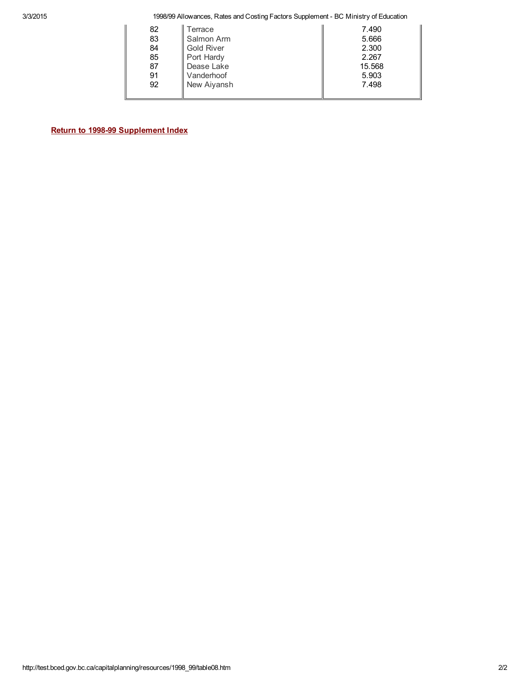| 82 | Terrace           | 7.490  |
|----|-------------------|--------|
| 83 | Salmon Arm        | 5.666  |
| 84 | <b>Gold River</b> | 2.300  |
| 85 | Port Hardy        | 2.267  |
| 87 | Dease Lake        | 15.568 |
| 91 | Vanderhoof        | 5.903  |
| 92 | New Aiyansh       | 7.498  |
|    |                   |        |
|    |                   |        |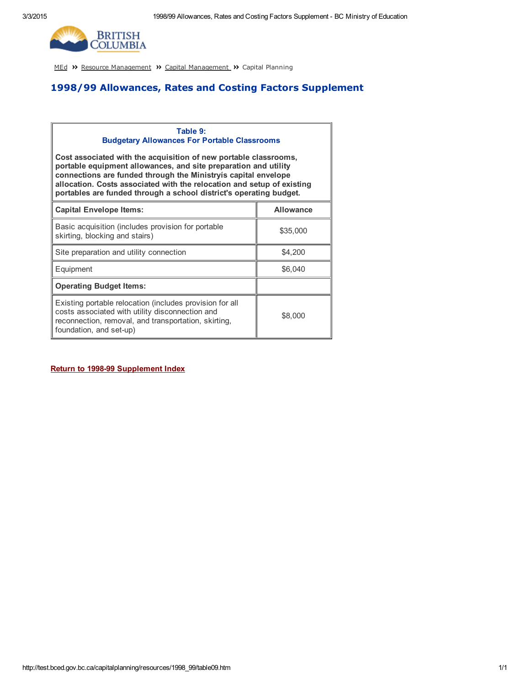

## 1998/99 Allowances, Rates and Costing Factors Supplement

#### Table 9: Budgetary Allowances For Portable Classrooms

Cost associated with the acquisition of new portable classrooms, portable equipment allowances, and site preparation and utility connections are funded through the Ministryís capital envelope allocation. Costs associated with the relocation and setup of existing portables are funded through a school district's operating budget.

| <b>Capital Envelope Items:</b>                                                                                                                                                                 | <b>Allowance</b> |
|------------------------------------------------------------------------------------------------------------------------------------------------------------------------------------------------|------------------|
| Basic acquisition (includes provision for portable<br>skirting, blocking and stairs)                                                                                                           | \$35,000         |
| Site preparation and utility connection                                                                                                                                                        | \$4,200          |
| Equipment                                                                                                                                                                                      | \$6,040          |
| <b>Operating Budget Items:</b>                                                                                                                                                                 |                  |
| Existing portable relocation (includes provision for all<br>costs associated with utility disconnection and<br>reconnection, removal, and transportation, skirting,<br>foundation, and set-up) | \$8,000          |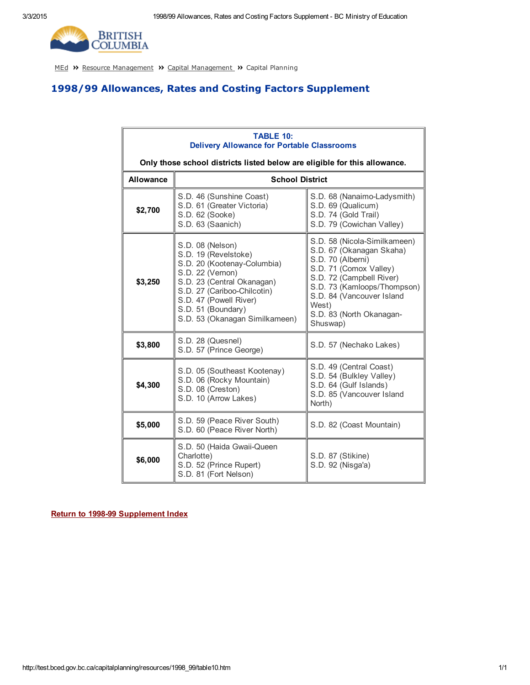

# 1998/99 Allowances, Rates and Costing Factors Supplement

| TABLE 10:<br><b>Delivery Allowance for Portable Classrooms</b> |                                                                                                                                                                                                                                            |                                                                                                                                                                                                                                                  |  |  |
|----------------------------------------------------------------|--------------------------------------------------------------------------------------------------------------------------------------------------------------------------------------------------------------------------------------------|--------------------------------------------------------------------------------------------------------------------------------------------------------------------------------------------------------------------------------------------------|--|--|
|                                                                | Only those school districts listed below are eligible for this allowance.                                                                                                                                                                  |                                                                                                                                                                                                                                                  |  |  |
| <b>Allowance</b>                                               | <b>School District</b>                                                                                                                                                                                                                     |                                                                                                                                                                                                                                                  |  |  |
| \$2,700                                                        | S.D. 46 (Sunshine Coast)<br>S.D. 68 (Nanaimo-Ladysmith)<br>S.D. 61 (Greater Victoria)<br>S.D. 69 (Qualicum)<br>S.D. 62 (Sooke)<br>S.D. 74 (Gold Trail)<br>S.D. 63 (Saanich)<br>S.D. 79 (Cowichan Valley)                                   |                                                                                                                                                                                                                                                  |  |  |
| \$3,250                                                        | S.D. 08 (Nelson)<br>S.D. 19 (Revelstoke)<br>S.D. 20 (Kootenay-Columbia)<br>S.D. 22 (Vernon)<br>S.D. 23 (Central Okanagan)<br>S.D. 27 (Cariboo-Chilcotin)<br>S.D. 47 (Powell River)<br>S.D. 51 (Boundary)<br>S.D. 53 (Okanagan Similkameen) | S.D. 58 (Nicola-Similkameen)<br>S.D. 67 (Okanagan Skaha)<br>S.D. 70 (Alberni)<br>S.D. 71 (Comox Valley)<br>S.D. 72 (Campbell River)<br>S.D. 73 (Kamloops/Thompson)<br>S.D. 84 (Vancouver Island<br>West)<br>S.D. 83 (North Okanagan-<br>Shuswap) |  |  |
| \$3,800                                                        | S.D. 28 (Quesnel)<br>S.D. 57 (Prince George)                                                                                                                                                                                               | S.D. 57 (Nechako Lakes)                                                                                                                                                                                                                          |  |  |
| \$4,300                                                        | S.D. 05 (Southeast Kootenay)<br>S.D. 06 (Rocky Mountain)<br>S.D. 08 (Creston)<br>S.D. 10 (Arrow Lakes)                                                                                                                                     | S.D. 49 (Central Coast)<br>S.D. 54 (Bulkley Valley)<br>S.D. 64 (Gulf Islands)<br>S.D. 85 (Vancouver Island<br>North)                                                                                                                             |  |  |
| \$5,000                                                        | S.D. 59 (Peace River South)<br>S.D. 60 (Peace River North)                                                                                                                                                                                 | S.D. 82 (Coast Mountain)                                                                                                                                                                                                                         |  |  |
| \$6,000                                                        | S.D. 50 (Haida Gwaii-Queen<br>Charlotte)<br>S.D. 52 (Prince Rupert)<br>S.D. 81 (Fort Nelson)                                                                                                                                               | S.D. 87 (Stikine)<br>S.D. 92 (Nisga'a)                                                                                                                                                                                                           |  |  |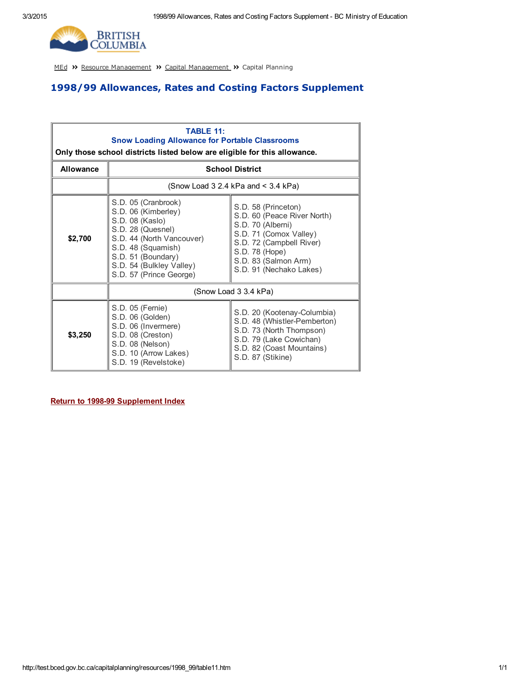$\overline{\Gamma}$ 

 $\overline{\mathbf{r}}$ 



[MEd](http://test.bced.gov.bc.ca/) >> Resource [Management](http://test.bced.gov.bc.ca/departments/resource_man/capitalmanagement.htm) >> Capital Management >> Capital Planning

### 1998/99 Allowances, Rates and Costing Factors Supplement

| <b>TABLE 11:</b><br><b>Snow Loading Allowance for Portable Classrooms</b> |                                                                                                                                                                                                                    |                                                                                                                                                                                                    |  |  |
|---------------------------------------------------------------------------|--------------------------------------------------------------------------------------------------------------------------------------------------------------------------------------------------------------------|----------------------------------------------------------------------------------------------------------------------------------------------------------------------------------------------------|--|--|
| Only those school districts listed below are eligible for this allowance. |                                                                                                                                                                                                                    |                                                                                                                                                                                                    |  |  |
| <b>Allowance</b>                                                          | <b>School District</b>                                                                                                                                                                                             |                                                                                                                                                                                                    |  |  |
|                                                                           | (Snow Load 3 2.4 kPa and $<$ 3.4 kPa)                                                                                                                                                                              |                                                                                                                                                                                                    |  |  |
| \$2,700                                                                   | S.D. 05 (Cranbrook)<br>S.D. 06 (Kimberley)<br>S.D. 08 (Kaslo)<br>S.D. 28 (Quesnel)<br>S.D. 44 (North Vancouver)<br>S.D. 48 (Squamish)<br>S.D. 51 (Boundary)<br>S.D. 54 (Bulkley Valley)<br>S.D. 57 (Prince George) | S.D. 58 (Princeton)<br>S.D. 60 (Peace River North)<br>S.D. 70 (Alberni)<br>S.D. 71 (Comox Valley)<br>S.D. 72 (Campbell River)<br>S.D. 78 (Hope)<br>S.D. 83 (Salmon Arm)<br>S.D. 91 (Nechako Lakes) |  |  |
|                                                                           | (Snow Load 3 3.4 kPa)                                                                                                                                                                                              |                                                                                                                                                                                                    |  |  |
| \$3,250                                                                   | S.D. 05 (Fernie)<br>S.D. 06 (Golden)<br>S.D. 06 (Invermere)<br>S.D. 08 (Creston)<br>S.D. 08 (Nelson)<br>S.D. 10 (Arrow Lakes)<br>S.D. 19 (Revelstoke)                                                              | S.D. 20 (Kootenay-Columbia)<br>S.D. 48 (Whistler-Pemberton)<br>S.D. 73 (North Thompson)<br>S.D. 79 (Lake Cowichan)<br>S.D. 82 (Coast Mountains)<br>S.D. 87 (Stikine)                               |  |  |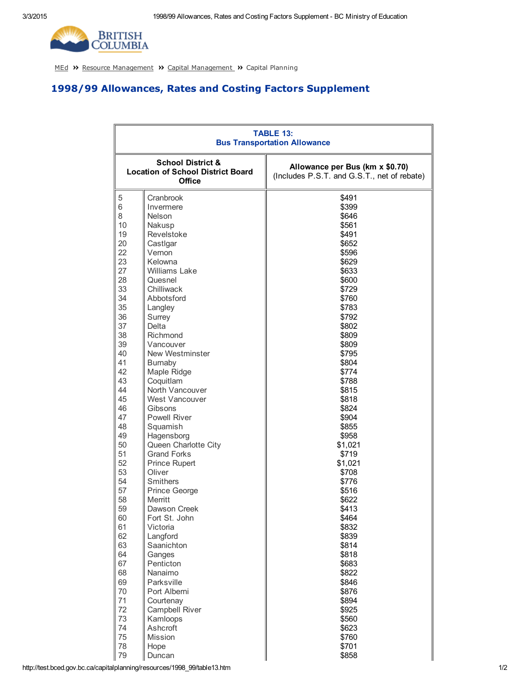

# 1998/99 Allowances, Rates and Costing Factors Supplement

| <b>TABLE 13:</b><br><b>Bus Transportation Allowance</b>                                   |                        |                                                                                |  |
|-------------------------------------------------------------------------------------------|------------------------|--------------------------------------------------------------------------------|--|
| <b>School District &amp;</b><br><b>Location of School District Board</b><br><b>Office</b> |                        | Allowance per Bus (km x \$0.70)<br>(Includes P.S.T. and G.S.T., net of rebate) |  |
| 5                                                                                         | Cranbrook              | \$491                                                                          |  |
| 6                                                                                         | Invermere              | \$399                                                                          |  |
| 8                                                                                         | Nelson                 | \$646                                                                          |  |
| 10                                                                                        | Nakusp                 | \$561                                                                          |  |
| 19                                                                                        | Revelstoke             | \$491                                                                          |  |
| 20                                                                                        | Castigar               | \$652                                                                          |  |
| 22                                                                                        | Vernon                 | \$596                                                                          |  |
| 23                                                                                        | Kelowna                | \$629                                                                          |  |
| 27                                                                                        | <b>Williams Lake</b>   | \$633                                                                          |  |
| 28                                                                                        | Quesnel                | \$600                                                                          |  |
| 33                                                                                        | Chilliwack             | \$729                                                                          |  |
| 34<br>35                                                                                  | Abbotsford             | \$760<br>\$783                                                                 |  |
|                                                                                           | Langley                |                                                                                |  |
| 36<br>37                                                                                  | Surrey<br>Delta        | \$792<br>\$802                                                                 |  |
| 38                                                                                        | Richmond               | \$809                                                                          |  |
| 39                                                                                        | Vancouver              | \$809                                                                          |  |
| 40                                                                                        | New Westminster        | \$795                                                                          |  |
| 41                                                                                        | <b>Burnaby</b>         | \$804                                                                          |  |
| 42                                                                                        | Maple Ridge            | \$774                                                                          |  |
| 43                                                                                        | Coquitlam              | \$788                                                                          |  |
| 44                                                                                        | North Vancouver        | \$815                                                                          |  |
| 45                                                                                        | West Vancouver         | \$818                                                                          |  |
| 46                                                                                        | Gibsons                | \$824                                                                          |  |
| 47                                                                                        | <b>Powell River</b>    | \$904                                                                          |  |
| 48                                                                                        | Squamish               | \$855                                                                          |  |
| 49                                                                                        | Hagensborg             | \$958                                                                          |  |
| 50                                                                                        | Queen Charlotte City   | \$1,021                                                                        |  |
| 51                                                                                        | <b>Grand Forks</b>     | \$719                                                                          |  |
| 52                                                                                        | <b>Prince Rupert</b>   | \$1,021                                                                        |  |
| 53                                                                                        | Oliver                 | \$708                                                                          |  |
| 54                                                                                        | <b>Smithers</b>        | \$776                                                                          |  |
| 57                                                                                        | <b>Prince George</b>   | \$516                                                                          |  |
| 58                                                                                        | <b>Merritt</b>         | \$622                                                                          |  |
| 59                                                                                        | Dawson Creek           | \$413                                                                          |  |
| 60                                                                                        | Fort St. John          | \$464                                                                          |  |
| 61                                                                                        | Victoria               | \$832                                                                          |  |
| 62<br>63                                                                                  | Langford<br>Saanichton | \$839                                                                          |  |
| 64                                                                                        | Ganges                 | \$814<br>\$818                                                                 |  |
| 67                                                                                        | Penticton              | \$683                                                                          |  |
| 68                                                                                        | Nanaimo                | \$822                                                                          |  |
| 69                                                                                        | Parksville             | \$846                                                                          |  |
| 70                                                                                        | Port Alberni           | \$876                                                                          |  |
| 71                                                                                        | Courtenay              | \$894                                                                          |  |
| 72                                                                                        | Campbell River         | \$925                                                                          |  |
| 73                                                                                        | Kamloops               | \$560                                                                          |  |
| 74                                                                                        | Ashcroft               | \$623                                                                          |  |
| 75                                                                                        | Mission                | \$760                                                                          |  |
| 78                                                                                        | Hope                   | \$701                                                                          |  |
| 79                                                                                        | Duncan                 | \$858                                                                          |  |